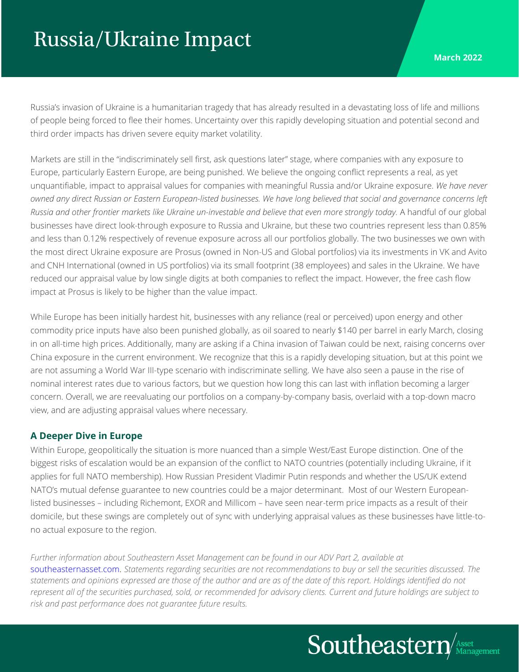## Russia/Ukraine Impact

Russia's invasion of Ukraine is a humanitarian tragedy that has already resulted in a devastating loss of life and millions of people being forced to flee their homes. Uncertainty over this rapidly developing situation and potential second and third order impacts has driven severe equity market volatility.

Markets are still in the "indiscriminately sell first, ask questions later" stage, where companies with any exposure to Europe, particularly Eastern Europe, are being punished. We believe the ongoing conflict represents a real, as yet unquantifiable, impact to appraisal values for companies with meaningful Russia and/or Ukraine exposure. *We have never owned any direct Russian or Eastern European-listed businesses. We have long believed that social and governance concerns left Russia and other frontier markets like Ukraine un-investable and believe that even more strongly today.* A handful of our global businesses have direct look-through exposure to Russia and Ukraine, but these two countries represent less than 0.85% and less than 0.12% respectively of revenue exposure across all our portfolios globally. The two businesses we own with the most direct Ukraine exposure are Prosus (owned in Non-US and Global portfolios) via its investments in VK and Avito and CNH International (owned in US portfolios) via its small footprint (38 employees) and sales in the Ukraine. We have reduced our appraisal value by low single digits at both companies to reflect the impact. However, the free cash flow impact at Prosus is likely to be higher than the value impact.

While Europe has been initially hardest hit, businesses with any reliance (real or perceived) upon energy and other commodity price inputs have also been punished globally, as oil soared to nearly \$140 per barrel in early March, closing in on all-time high prices. Additionally, many are asking if a China invasion of Taiwan could be next, raising concerns over China exposure in the current environment. We recognize that this is a rapidly developing situation, but at this point we are not assuming a World War III-type scenario with indiscriminate selling. We have also seen a pause in the rise of nominal interest rates due to various factors, but we question how long this can last with inflation becoming a larger concern. Overall, we are reevaluating our portfolios on a company-by-company basis, overlaid with a top-down macro view, and are adjusting appraisal values where necessary.

## **A Deeper Dive in Europe**

Within Europe, geopolitically the situation is more nuanced than a simple West/East Europe distinction. One of the biggest risks of escalation would be an expansion of the conflict to NATO countries (potentially including Ukraine, if it applies for full NATO membership). How Russian President Vladimir Putin responds and whether the US/UK extend NATO's mutual defense guarantee to new countries could be a major determinant. Most of our Western Europeanlisted businesses – including Richemont, EXOR and Millicom – have seen near-term price impacts as a result of their domicile, but these swings are completely out of sync with underlying appraisal values as these businesses have little-tono actual exposure to the region.

*Further information about Southeastern Asset Management can be found in our ADV Part 2, available at*  southeasternasset.com. *Statements regarding securities are not recommendations to buy or sell the securities discussed. The statements and opinions expressed are those of the author and are as of the date of this report. Holdings identified do not represent all of the securities purchased, sold, or recommended for advisory clients. Current and future holdings are subject to risk and past performance does not guarantee future results.* 

Southeastern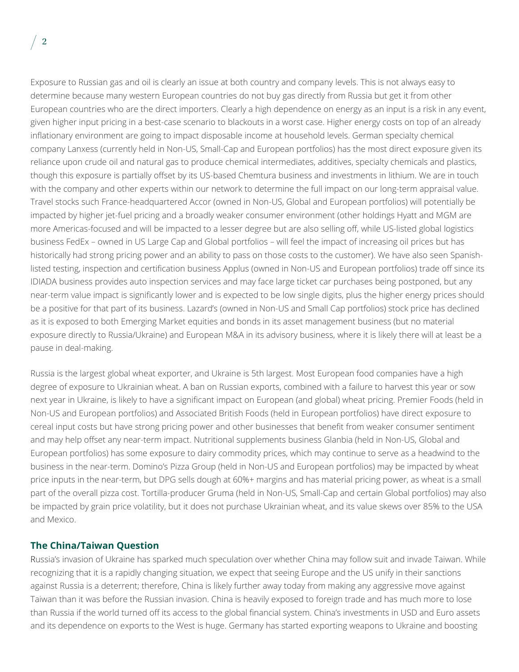Exposure to Russian gas and oil is clearly an issue at both country and company levels. This is not always easy to determine because many western European countries do not buy gas directly from Russia but get it from other European countries who are the direct importers. Clearly a high dependence on energy as an input is a risk in any event, given higher input pricing in a best-case scenario to blackouts in a worst case. Higher energy costs on top of an already inflationary environment are going to impact disposable income at household levels. German specialty chemical company Lanxess (currently held in Non-US, Small-Cap and European portfolios) has the most direct exposure given its reliance upon crude oil and natural gas to produce chemical intermediates, additives, specialty chemicals and plastics, though this exposure is partially offset by its US-based Chemtura business and investments in lithium. We are in touch with the company and other experts within our network to determine the full impact on our long-term appraisal value. Travel stocks such France-headquartered Accor (owned in Non-US, Global and European portfolios) will potentially be impacted by higher jet-fuel pricing and a broadly weaker consumer environment (other holdings Hyatt and MGM are more Americas-focused and will be impacted to a lesser degree but are also selling off, while US-listed global logistics business FedEx – owned in US Large Cap and Global portfolios – will feel the impact of increasing oil prices but has historically had strong pricing power and an ability to pass on those costs to the customer). We have also seen Spanishlisted testing, inspection and certification business Applus (owned in Non-US and European portfolios) trade off since its IDIADA business provides auto inspection services and may face large ticket car purchases being postponed, but any near-term value impact is significantly lower and is expected to be low single digits, plus the higher energy prices should be a positive for that part of its business. Lazard's (owned in Non-US and Small Cap portfolios) stock price has declined as it is exposed to both Emerging Market equities and bonds in its asset management business (but no material exposure directly to Russia/Ukraine) and European M&A in its advisory business, where it is likely there will at least be a pause in deal-making.

Russia is the largest global wheat exporter, and Ukraine is 5th largest. Most European food companies have a high degree of exposure to Ukrainian wheat. A ban on Russian exports, combined with a failure to harvest this year or sow next year in Ukraine, is likely to have a significant impact on European (and global) wheat pricing. Premier Foods (held in Non-US and European portfolios) and Associated British Foods (held in European portfolios) have direct exposure to cereal input costs but have strong pricing power and other businesses that benefit from weaker consumer sentiment and may help offset any near-term impact. Nutritional supplements business Glanbia (held in Non-US, Global and European portfolios) has some exposure to dairy commodity prices, which may continue to serve as a headwind to the business in the near-term. Domino's Pizza Group (held in Non-US and European portfolios) may be impacted by wheat price inputs in the near-term, but DPG sells dough at 60%+ margins and has material pricing power, as wheat is a small part of the overall pizza cost. Tortilla-producer Gruma (held in Non-US, Small-Cap and certain Global portfolios) may also be impacted by grain price volatility, but it does not purchase Ukrainian wheat, and its value skews over 85% to the USA and Mexico.

## **The China/Taiwan Question**

Russia's invasion of Ukraine has sparked much speculation over whether China may follow suit and invade Taiwan. While recognizing that it is a rapidly changing situation, we expect that seeing Europe and the US unify in their sanctions against Russia is a deterrent; therefore, China is likely further away today from making any aggressive move against Taiwan than it was before the Russian invasion. China is heavily exposed to foreign trade and has much more to lose than Russia if the world turned off its access to the global financial system. China's investments in USD and Euro assets and its dependence on exports to the West is huge. Germany has started exporting weapons to Ukraine and boosting